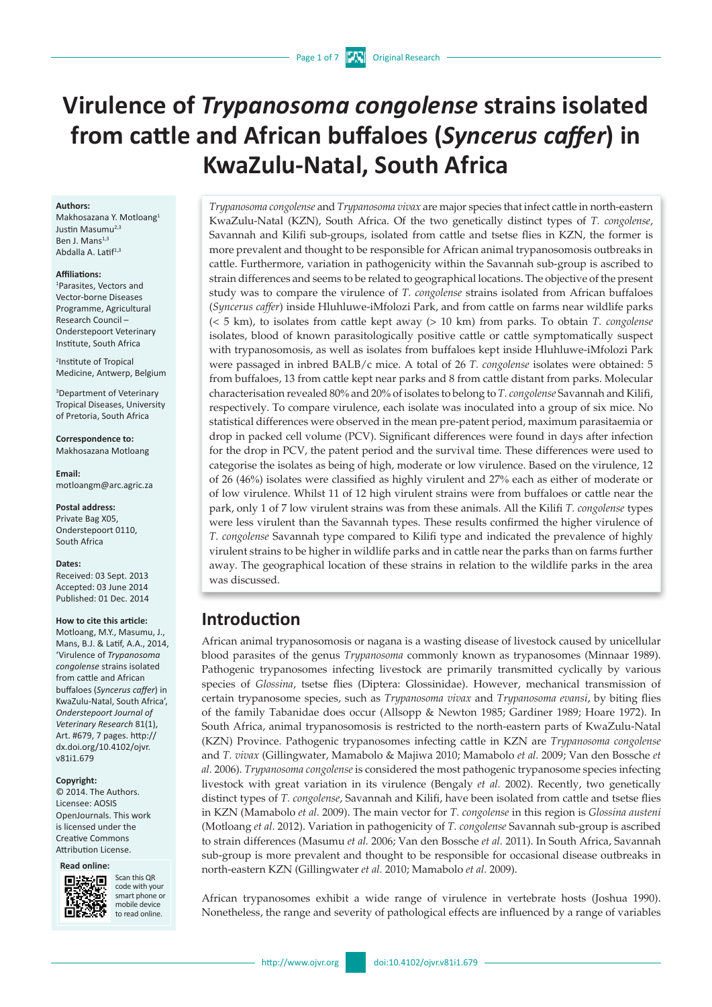# **Virulence of** *Trypanosoma congolense* **strains isolated from cattle and African buffaloes (***Syncerus caffer***) in KwaZulu-Natal, South Africa**

#### **Authors:**

Makhosazana Y. Motloang1 Justin Masumu<sup>2,3</sup> Ben J. Mans<sup>1,3</sup> Abdalla A. Latif<sup>1,3</sup>

#### **Affiliations:**

1 Parasites, Vectors and Vector-borne Diseases Programme, Agricultural Research Council – Onderstepoort Veterinary Institute, South Africa

2 Institute of Tropical Medicine, Antwerp, Belgium

3 Department of Veterinary Tropical Diseases, University of Pretoria, South Africa

**Correspondence to:** Makhosazana Motloang

**Email:** [motloangm@arc.agric.za](mailto:motloangm%40arc.agric.za?subject=)

**Postal address:** Private Bag X05, Onderstepoort 0110, South Africa

#### **Dates:**

Received: 03 Sept. 2013 Accepted: 03 June 2014 Published: 01 Dec. 2014

#### **How to cite this article:**

Motloang, M.Y., Masumu, J., Mans, B.J. & Latif, A.A., 2014, 'Virulence of *Trypanosoma congolense* strains isolated from cattle and African buffaloes (*Syncerus caffer*) in KwaZulu-Natal, South Africa', *Onderstepoort Journal of Veterinary Research* 81(1), Art. #679, 7 pages. [http://](http://dx.doi.org/10.4102/ojvr.v81i1.679 ) [dx.doi.org/10.4102/ojvr.](http://dx.doi.org/10.4102/ojvr.v81i1.679 ) [v81i1.679](http://dx.doi.org/10.4102/ojvr.v81i1.679 )

#### **Copyright:**

© 2014. The Authors. Licensee: AOSIS OpenJournals. This work is licensed under the Creative Commons Attribution License.

#### **Read online:**



Scan this OR code with your smart phone or mobile device to read online.

*Trypanosoma congolense* and *Trypanosoma vivax* are major species that infect cattle in north-eastern KwaZulu-Natal (KZN), South Africa. Of the two genetically distinct types of *T. congolense*, Savannah and Kilifi sub-groups, isolated from cattle and tsetse flies in KZN, the former is more prevalent and thought to be responsible for African animal trypanosomosis outbreaks in cattle. Furthermore, variation in pathogenicity within the Savannah sub-group is ascribed to strain differences and seems to be related to geographical locations. The objective of the present study was to compare the virulence of *T. congolense* strains isolated from African buffaloes (*Syncerus caffer*) inside Hluhluwe-iMfolozi Park, and from cattle on farms near wildlife parks (< 5 km), to isolates from cattle kept away (> 10 km) from parks. To obtain *T. congolense* isolates, blood of known parasitologically positive cattle or cattle symptomatically suspect with trypanosomosis, as well as isolates from buffaloes kept inside Hluhluwe-iMfolozi Park were passaged in inbred BALB/c mice. A total of 26 *T. congolense* isolates were obtained: 5 from buffaloes, 13 from cattle kept near parks and 8 from cattle distant from parks. Molecular characterisation revealed 80% and 20% of isolates to belong to *T. congolense* Savannah and Kilifi, respectively. To compare virulence, each isolate was inoculated into a group of six mice. No statistical differences were observed in the mean pre-patent period, maximum parasitaemia or drop in packed cell volume (PCV). Significant differences were found in days after infection for the drop in PCV, the patent period and the survival time. These differences were used to categorise the isolates as being of high, moderate or low virulence. Based on the virulence, 12 of 26 (46%) isolates were classified as highly virulent and 27% each as either of moderate or of low virulence. Whilst 11 of 12 high virulent strains were from buffaloes or cattle near the park, only 1 of 7 low virulent strains was from these animals. All the Kilifi *T. congolense* types were less virulent than the Savannah types. These results confirmed the higher virulence of *T. congolense* Savannah type compared to Kilifi type and indicated the prevalence of highly virulent strains to be higher in wildlife parks and in cattle near the parks than on farms further away. The geographical location of these strains in relation to the wildlife parks in the area was discussed.

# **Introduction**

African animal trypanosomosis or nagana is a wasting disease of livestock caused by unicellular blood parasites of the genus *Trypanosoma* commonly known as trypanosomes (Minnaar 1989). Pathogenic trypanosomes infecting livestock are primarily transmitted cyclically by various species of *Glossina*, tsetse flies (Diptera: Glossinidae). However, mechanical transmission of certain trypanosome species, such as *Trypanosoma vivax* and *Trypanosoma evansi*, by biting flies of the family Tabanidae does occur (Allsopp & Newton 1985; Gardiner 1989; Hoare 1972). In South Africa, animal trypanosomosis is restricted to the north-eastern parts of KwaZulu-Natal (KZN) Province. Pathogenic trypanosomes infecting cattle in KZN are *Trypanosoma congolense* and *T. vivax* (Gillingwater, Mamabolo & Majiwa 2010; Mamabolo *et al.* 2009; Van den Bossche *et al.* 2006). *Trypanosoma congolense* is considered the most pathogenic trypanosome species infecting livestock with great variation in its virulence (Bengaly *et al.* 2002). Recently, two genetically distinct types of *T. congolense*, Savannah and Kilifi, have been isolated from cattle and tsetse flies in KZN (Mamabolo *et al.* 2009). The main vector for *T. congolense* in this region is *Glossina austeni* (Motloang *et al.* 2012). Variation in pathogenicity of *T. congolense* Savannah sub-group is ascribed to strain differences (Masumu *et al.* 2006; Van den Bossche *et al.* 2011). In South Africa, Savannah sub-group is more prevalent and thought to be responsible for occasional disease outbreaks in north-eastern KZN (Gillingwater *et al.* 2010; Mamabolo *et al.* 2009).

African trypanosomes exhibit a wide range of virulence in vertebrate hosts (Joshua 1990). Nonetheless, the range and severity of pathological effects are influenced by a range of variables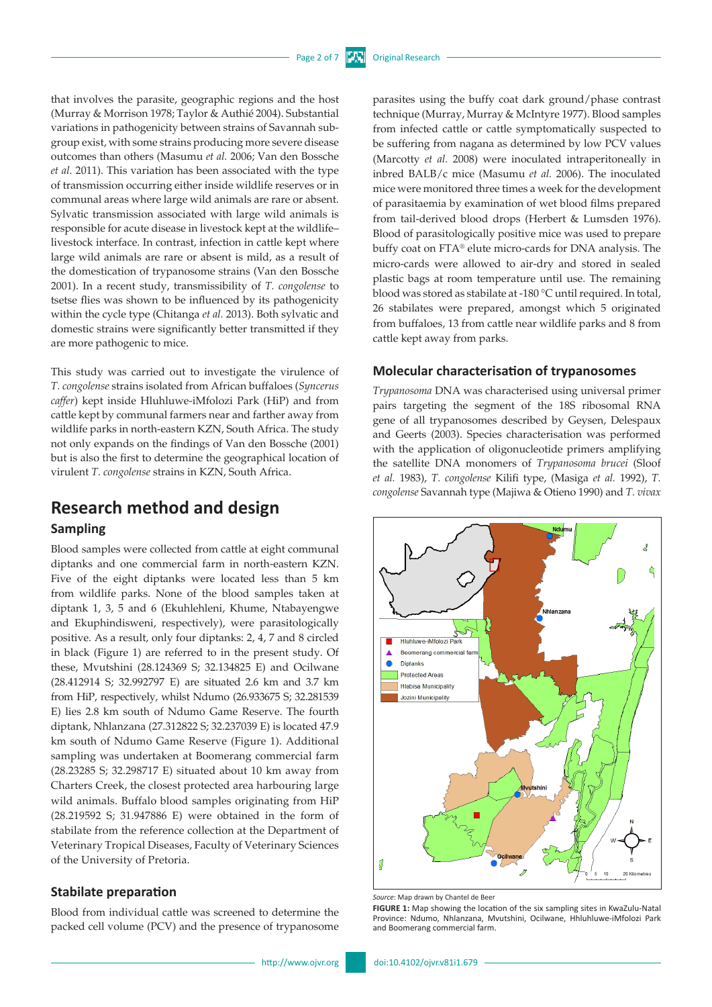that involves the parasite, geographic regions and the host (Murray & Morrison 1978; Taylor & Authié 2004). Substantial variations in pathogenicity between strains of Savannah subgroup exist, with some strains producing more severe disease outcomes than others (Masumu *et al.* 2006; Van den Bossche *et al.* 2011). This variation has been associated with the type of transmission occurring either inside wildlife reserves or in communal areas where large wild animals are rare or absent. Sylvatic transmission associated with large wild animals is responsible for acute disease in livestock kept at the wildlife– livestock interface. In contrast, infection in cattle kept where large wild animals are rare or absent is mild, as a result of the domestication of trypanosome strains (Van den Bossche 2001). In a recent study, transmissibility of *T. congolense* to tsetse flies was shown to be influenced by its pathogenicity within the cycle type (Chitanga *et al.* 2013). Both sylvatic and domestic strains were significantly better transmitted if they are more pathogenic to mice.

This study was carried out to investigate the virulence of *T. congolense* strains isolated from African buffaloes (*Syncerus caffer*) kept inside Hluhluwe-iMfolozi Park (HiP) and from cattle kept by communal farmers near and farther away from wildlife parks in north-eastern KZN, South Africa. The study not only expands on the findings of Van den Bossche (2001) but is also the first to determine the geographical location of virulent *T. congolense* strains in KZN, South Africa.

# **Research method and design Sampling**

Blood samples were collected from cattle at eight communal diptanks and one commercial farm in north-eastern KZN. Five of the eight diptanks were located less than 5 km from wildlife parks. None of the blood samples taken at diptank 1, 3, 5 and 6 (Ekuhlehleni, Khume, Ntabayengwe and Ekuphindisweni, respectively), were parasitologically positive. As a result, only four diptanks: 2, 4, 7 and 8 circled in black (Figure 1) are referred to in the present study. Of these, Mvutshini (28.124369 S; 32.134825 E) and Ocilwane (28.412914 S; 32.992797 E) are situated 2.6 km and 3.7 km from HiP, respectively, whilst Ndumo (26.933675 S; 32.281539 E) lies 2.8 km south of Ndumo Game Reserve. The fourth diptank, Nhlanzana (27.312822 S; 32.237039 E) is located 47.9 km south of Ndumo Game Reserve (Figure 1). Additional sampling was undertaken at Boomerang commercial farm (28.23285 S; 32.298717 E) situated about 10 km away from Charters Creek, the closest protected area harbouring large wild animals. Buffalo blood samples originating from HiP (28.219592 S; 31.947886 E) were obtained in the form of stabilate from the reference collection at the Department of Veterinary Tropical Diseases, Faculty of Veterinary Sciences of the University of Pretoria.

### **Stabilate preparation**

Blood from individual cattle was screened to determine the packed cell volume (PCV) and the presence of trypanosome

**FIGURE 1:** Map showing the location of the six sampling sites in KwaZulu-Natal Province: Ndumo, Nhlanzana, Mvutshini, Ocilwane, Hhluhluwe-iMfolozi Park and Boomerang commercial farm.

parasites using the buffy coat dark ground/phase contrast technique (Murray, Murray & McIntyre 1977). Blood samples from infected cattle or cattle symptomatically suspected to be suffering from nagana as determined by low PCV values (Marcotty *et al.* 2008) were inoculated intraperitoneally in inbred BALB/c mice (Masumu *et al.* 2006). The inoculated mice were monitored three times a week for the development of parasitaemia by examination of wet blood films prepared from tail-derived blood drops (Herbert & Lumsden 1976). Blood of parasitologically positive mice was used to prepare buffy coat on FTA® elute micro-cards for DNA analysis. The micro-cards were allowed to air-dry and stored in sealed plastic bags at room temperature until use. The remaining blood was stored as stabilate at -180 °C until required. In total, 26 stabilates were prepared, amongst which 5 originated from buffaloes, 13 from cattle near wildlife parks and 8 from cattle kept away from parks.

## **Molecular characterisation of trypanosomes**

*Trypanosoma* DNA was characterised using universal primer pairs targeting the segment of the 18S ribosomal RNA gene of all trypanosomes described by Geysen, Delespaux and Geerts (2003). Species characterisation was performed with the application of oligonucleotide primers amplifying the satellite DNA monomers of *Trypanosoma brucei* (Sloof *et al.* 1983), *T. congolense* Kilifi type, (Masiga *et al.* 1992), *T. congolense* Savannah type (Majiwa & Otieno 1990) and *T. vivax*

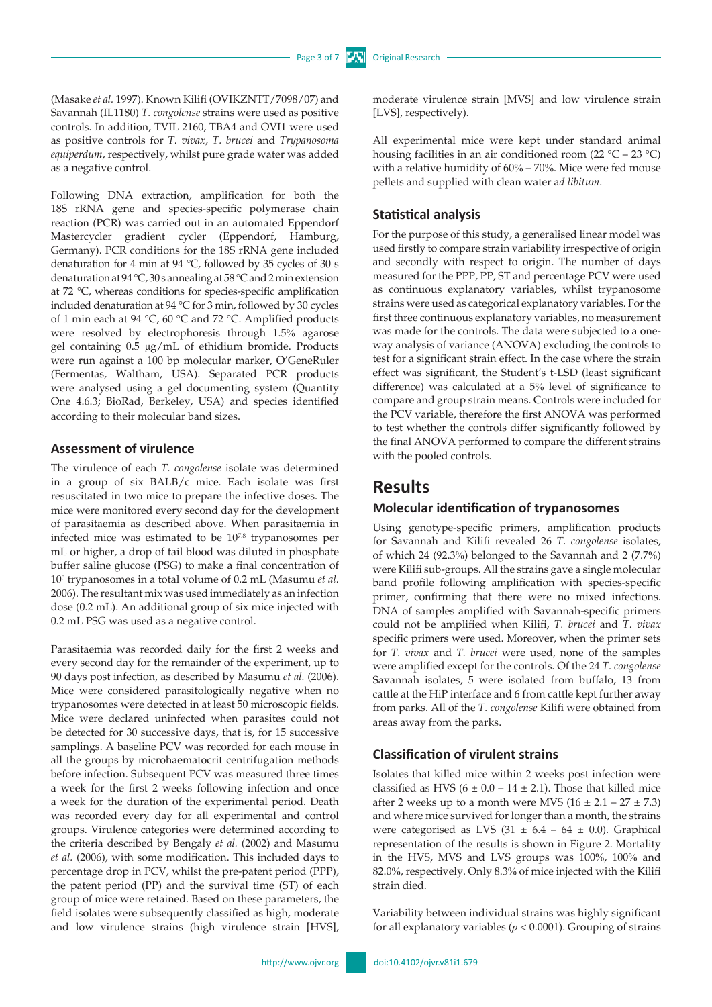(Masake *et al.* 1997). Known Kilifi (OVIKZNTT/7098/07) and Savannah (IL1180) *T. congolense* strains were used as positive controls. In addition, TVIL 2160, TBA4 and OVI1 were used as positive controls for *T. vivax*, *T. brucei* and *Trypanosoma equiperdum*, respectively, whilst pure grade water was added as a negative control.

Following DNA extraction, amplification for both the 18S rRNA gene and species-specific polymerase chain reaction (PCR) was carried out in an automated Eppendorf Mastercycler gradient cycler (Eppendorf, Hamburg, Germany). PCR conditions for the 18S rRNA gene included denaturation for 4 min at 94 °C, followed by 35 cycles of 30 s denaturation at 94 °C, 30 s annealing at 58 °C and 2 min extension at 72 °C, whereas conditions for species-specific amplification included denaturation at 94 °C for 3 min, followed by 30 cycles of 1 min each at 94 °C, 60 °C and 72 °C. Amplified products were resolved by electrophoresis through 1.5% agarose gel containing 0.5 μg/mL of ethidium bromide. Products were run against a 100 bp molecular marker, O'GeneRuler (Fermentas, Waltham, USA). Separated PCR products were analysed using a gel documenting system (Quantity One 4.6.3; BioRad, Berkeley, USA) and species identified according to their molecular band sizes.

### **Assessment of virulence**

The virulence of each *T. congolense* isolate was determined in a group of six BALB/c mice. Each isolate was first resuscitated in two mice to prepare the infective doses. The mice were monitored every second day for the development of parasitaemia as described above. When parasitaemia in infected mice was estimated to be 107.8 trypanosomes per mL or higher, a drop of tail blood was diluted in phosphate buffer saline glucose (PSG) to make a final concentration of 105 trypanosomes in a total volume of 0.2 mL (Masumu *et al.* 2006). The resultant mix was used immediately as an infection dose (0.2 mL). An additional group of six mice injected with 0.2 mL PSG was used as a negative control.

Parasitaemia was recorded daily for the first 2 weeks and every second day for the remainder of the experiment, up to 90 days post infection, as described by Masumu *et al.* (2006). Mice were considered parasitologically negative when no trypanosomes were detected in at least 50 microscopic fields. Mice were declared uninfected when parasites could not be detected for 30 successive days, that is, for 15 successive samplings. A baseline PCV was recorded for each mouse in all the groups by microhaematocrit centrifugation methods before infection. Subsequent PCV was measured three times a week for the first 2 weeks following infection and once a week for the duration of the experimental period. Death was recorded every day for all experimental and control groups. Virulence categories were determined according to the criteria described by Bengaly *et al.* (2002) and Masumu *et al.* (2006), with some modification. This included days to percentage drop in PCV, whilst the pre-patent period (PPP), the patent period (PP) and the survival time (ST) of each group of mice were retained. Based on these parameters, the field isolates were subsequently classified as high, moderate and low virulence strains (high virulence strain [HVS],

moderate virulence strain [MVS] and low virulence strain [LVS], respectively).

All experimental mice were kept under standard animal housing facilities in an air conditioned room  $(22 \degree C - 23 \degree C)$ with a relative humidity of 60% – 70%. Mice were fed mouse pellets and supplied with clean water a*d libitum*.

## **Statistical analysis**

For the purpose of this study, a generalised linear model was used firstly to compare strain variability irrespective of origin and secondly with respect to origin. The number of days measured for the PPP, PP, ST and percentage PCV were used as continuous explanatory variables, whilst trypanosome strains were used as categorical explanatory variables. For the first three continuous explanatory variables, no measurement was made for the controls. The data were subjected to a oneway analysis of variance (ANOVA) excluding the controls to test for a significant strain effect. In the case where the strain effect was significant, the Student's t-LSD (least significant difference) was calculated at a 5% level of significance to compare and group strain means. Controls were included for the PCV variable, therefore the first ANOVA was performed to test whether the controls differ significantly followed by the final ANOVA performed to compare the different strains with the pooled controls.

# **Results**

### **Molecular identification of trypanosomes**

Using genotype-specific primers, amplification products for Savannah and Kilifi revealed 26 *T. congolense* isolates, of which 24 (92.3%) belonged to the Savannah and 2 (7.7%) were Kilifi sub-groups. All the strains gave a single molecular band profile following amplification with species-specific primer, confirming that there were no mixed infections. DNA of samples amplified with Savannah-specific primers could not be amplified when Kilifi, *T. brucei* and *T. vivax*  specific primers were used. Moreover, when the primer sets for *T. vivax* and *T. brucei* were used, none of the samples were amplified except for the controls. Of the 24 *T. congolense* Savannah isolates, 5 were isolated from buffalo, 13 from cattle at the HiP interface and 6 from cattle kept further away from parks. All of the *T. congolense* Kilifi were obtained from areas away from the parks.

## **Classification of virulent strains**

Isolates that killed mice within 2 weeks post infection were classified as HVS ( $6 \pm 0.0 - 14 \pm 2.1$ ). Those that killed mice after 2 weeks up to a month were MVS  $(16 \pm 2.1 - 27 \pm 7.3)$ and where mice survived for longer than a month, the strains were categorised as LVS  $(31 \pm 6.4 - 64 \pm 0.0)$ . Graphical representation of the results is shown in Figure 2. Mortality in the HVS, MVS and LVS groups was 100%, 100% and 82.0%, respectively. Only 8.3% of mice injected with the Kilifi strain died.

Variability between individual strains was highly significant for all explanatory variables ( $p < 0.0001$ ). Grouping of strains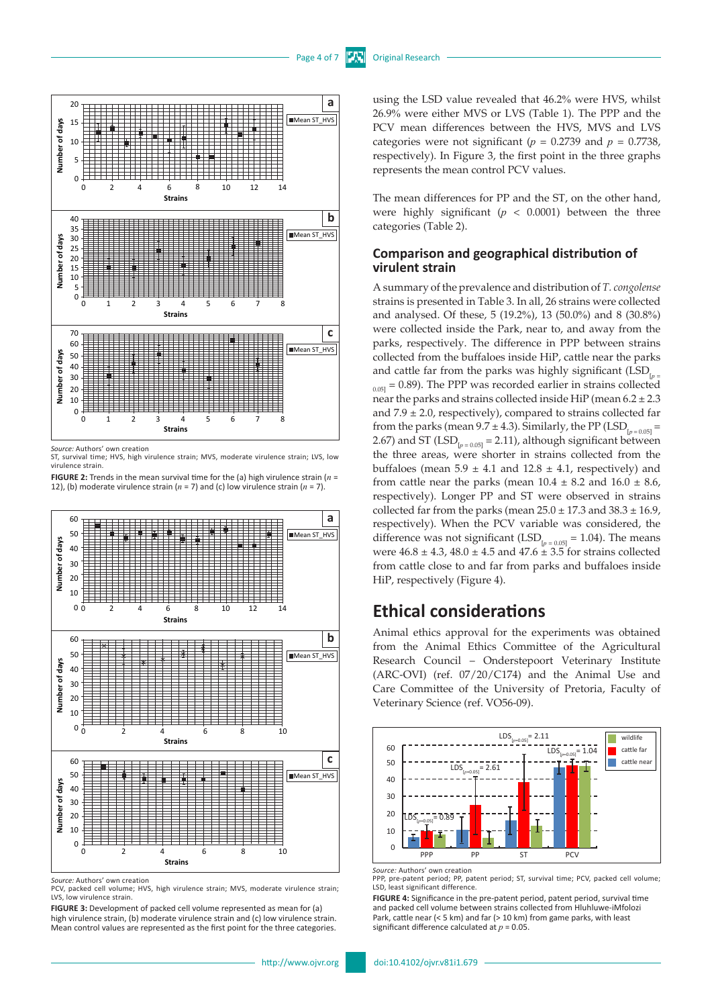

*Source:* Authors' own creation

ST, survival time; HVS, high virulence strain; MVS, moderate virulence strain; LVS, low virulence strain.

**FIGURE 2:** Trends in the mean survival time for the (a) high virulence strain (*n* = 12), (b) moderate virulence strain ( $n = 7$ ) and (c) low virulence strain ( $n = 7$ ).



PCV, packed cell volume; HVS, high virulence strain; MVS, moderate virulence strain; LVS, low virulence strain.

**FIGURE 3:** Development of packed cell volume represented as mean for (a) high virulence strain, (b) moderate virulence strain and (c) low virulence strain. Mean control values are represented as the first point for the three categories.

using the LSD value revealed that 46.2% were HVS, whilst 26.9% were either MVS or LVS (Table 1). The PPP and the PCV mean differences between the HVS, MVS and LVS categories were not significant ( $p = 0.2739$  and  $p = 0.7738$ , respectively). In Figure 3, the first point in the three graphs represents the mean control PCV values.

The mean differences for PP and the ST, on the other hand, were highly significant  $(p < 0.0001)$  between the three categories (Table 2).

## **Comparison and geographical distribution of virulent strain**

A summary of the prevalence and distribution of *T. congolense* strains is presented in Table 3. In all, 26 strains were collected and analysed. Of these, 5 (19.2%), 13 (50.0%) and 8 (30.8%) were collected inside the Park, near to, and away from the parks, respectively. The difference in PPP between strains collected from the buffaloes inside HiP, cattle near the parks and cattle far from the parks was highly significant (LSD<sub>[p=</sub>  $_{0.05]}$  = 0.89). The PPP was recorded earlier in strains collected near the parks and strains collected inside HiP (mean  $6.2 \pm 2.3$ ) and  $7.9 \pm 2.0$ , respectively), compared to strains collected far from the parks (mean  $9.7 \pm 4.3$ ). Similarly, the PP (LSD<sub> $p_{p-0.05}$ </sub> = 2.67) and ST  $(LSD_{p=0.05]} = 2.11$ , although significant between the three areas, were shorter in strains collected from the buffaloes (mean  $5.9 \pm 4.1$  and  $12.8 \pm 4.1$ , respectively) and from cattle near the parks (mean  $10.4 \pm 8.2$  and  $16.0 \pm 8.6$ , respectively). Longer PP and ST were observed in strains collected far from the parks (mean  $25.0 \pm 17.3$  and  $38.3 \pm 16.9$ , respectively). When the PCV variable was considered, the difference was not significant (LSD<sub> $p_{p=0.05]}$ </sub> = 1.04). The means were  $46.8 \pm 4.3$ ,  $48.0 \pm 4.5$  and  $47.6 \pm 3.5$  for strains collected from cattle close to and far from parks and buffaloes inside HiP, respectively (Figure 4).

# **Ethical considerations**

Animal ethics approval for the experiments was obtained from the Animal Ethics Committee of the Agricultural Research Council – Onderstepoort Veterinary Institute (ARC-OVI) (ref. 07/20/C174) and the Animal Use and Care Committee of the University of Pretoria, Faculty of Veterinary Science (ref. VO56-09).



*Source:* Authors' own creation

**FIGURE 4:** Significance in the pre-patent period, patent period, survival time and packed cell volume between strains collected from Hluhluwe-iMfolozi Park, cattle near (< 5 km) and far (> 10 km) from game parks, with least significant difference calculated at  $p = 0.05$ .

PPP, pre-patent period; PP, patent period; ST, survival time; PCV, packed cell volume; LSD, least significant difference.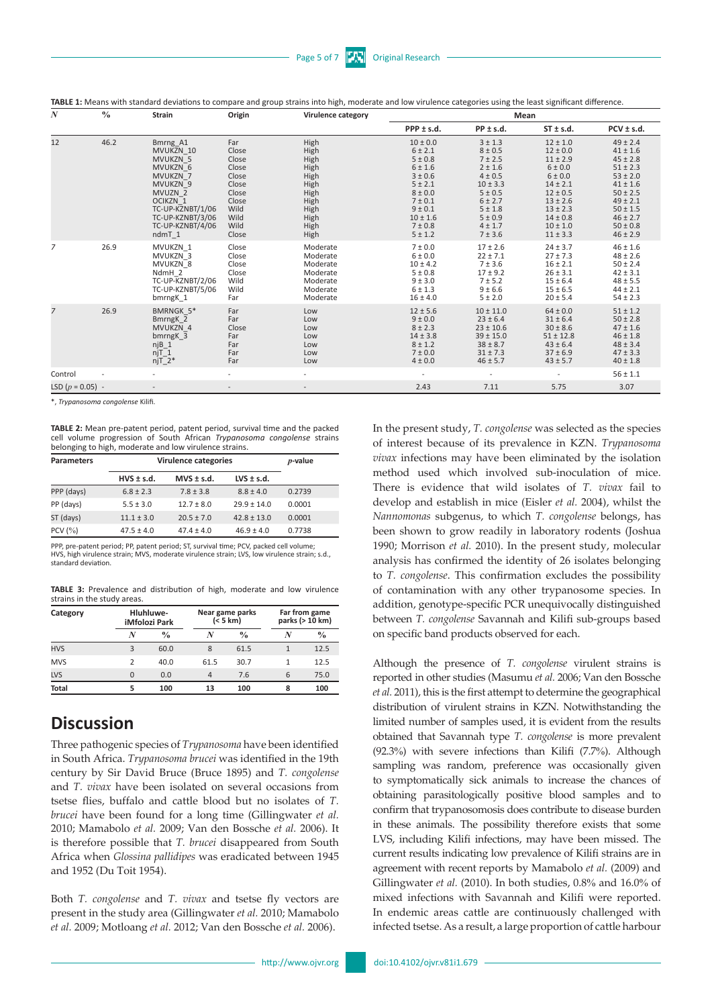**TABLE 1:** Means with standard deviations to compare and group strains into high, moderate and low virulence categories using the least significant difference.

| N                  | $\frac{0}{0}$ | <b>Strain</b>                                                                                                                                                                        | Origin                                                                                              | Virulence category                                                                           | Mean                                                                                                                                               |                                                                                                                                                               |                                                                                                                                                                                    |                                                                                                                                                                                              |
|--------------------|---------------|--------------------------------------------------------------------------------------------------------------------------------------------------------------------------------------|-----------------------------------------------------------------------------------------------------|----------------------------------------------------------------------------------------------|----------------------------------------------------------------------------------------------------------------------------------------------------|---------------------------------------------------------------------------------------------------------------------------------------------------------------|------------------------------------------------------------------------------------------------------------------------------------------------------------------------------------|----------------------------------------------------------------------------------------------------------------------------------------------------------------------------------------------|
|                    |               |                                                                                                                                                                                      |                                                                                                     |                                                                                              | $PPP \pm s.d.$                                                                                                                                     | $PP \pm s.d.$                                                                                                                                                 | $ST \pm s.d.$                                                                                                                                                                      | $PCV \pm s.d.$                                                                                                                                                                               |
| 12                 | 46.2          | Bmrng A1<br>MVUKZN 10<br><b>MVUKZN 5</b><br>MVUKZN 6<br>MVUKZN 7<br>MVUKZN 9<br>MVUZN <sub>2</sub><br>OCIKZN 1<br>TC-UP-KZNBT/1/06<br>TC-UP-KZNBT/3/06<br>TC-UP-KZNBT/4/06<br>ndmT 1 | Far<br>Close<br>Close<br>Close<br>Close<br>Close<br>Close<br>Close<br>Wild<br>Wild<br>Wild<br>Close | High<br>High<br>High<br>High<br>High<br>High<br>High<br>High<br>High<br>High<br>High<br>High | $10 \pm 0.0$<br>6 ± 2.1<br>5 ± 0.8<br>6 ± 1.6<br>3 ± 0.6<br>5 ± 2.1<br>$8 \pm 0.0$<br>7 ± 0.1<br>9 ± 0.1<br>$10 \pm 1.6$<br>7 ± 0.8<br>$5 \pm 1.2$ | $3 + 1.3$<br>$8 + 0.5$<br>7 ± 2.5<br>$2 \pm 1.6$<br>$4 \pm 0.5$<br>$10 \pm 3.3$<br>$5 \pm 0.5$<br>6 ± 2.7<br>$5 \pm 1.8$<br>5 ± 0.9<br>$4 \pm 1.7$<br>7 ± 3.6 | $12 \pm 1.0$<br>$12 \pm 0.0$<br>$11 \pm 2.9$<br>6 ± 0.0<br>6 ± 0.0<br>$14 \pm 2.1$<br>$12 \pm 0.5$<br>$13 \pm 2.6$<br>$13 \pm 2.3$<br>$14 \pm 0.8$<br>$10 \pm 1.0$<br>$11 \pm 3.3$ | $49 \pm 2.4$<br>$41 \pm 1.6$<br>$45 \pm 2.8$<br>$51 \pm 2.3$<br>$53 \pm 2.0$<br>$41 \pm 1.6$<br>$50 \pm 2.5$<br>$49 \pm 2.1$<br>$50 \pm 1.5$<br>$46 \pm 2.7$<br>$50 \pm 0.8$<br>$46 \pm 2.9$ |
| 7                  | 26.9          | MVUKZN 1<br>MVUKZN 3<br>MVUKZN 8<br>NdmH <sub>2</sub><br>TC-UP-KZNBT/2/06<br>TC-UP-KZNBT/5/06<br>bmrng <sub>K</sub> 1                                                                | Close<br>Close<br>Close<br>Close<br>Wild<br>Wild<br>Far                                             | Moderate<br>Moderate<br>Moderate<br>Moderate<br>Moderate<br>Moderate<br>Moderate             | 7 ± 0.0<br>6 ± 0.0<br>$10 \pm 4.2$<br>5 ± 0.8<br>9 ± 3.0<br>6 ± 1.3<br>$16 \pm 4.0$                                                                | $17 \pm 2.6$<br>$22 \pm 7.1$<br>7 ± 3.6<br>$17 \pm 9.2$<br>$7 + 5.2$<br>9 ± 6.6<br>5 ± 2.0                                                                    | $24 \pm 3.7$<br>$27 \pm 7.3$<br>$16 \pm 2.1$<br>$26 \pm 3.1$<br>$15 \pm 6.4$<br>$15 \pm 6.5$<br>$20 \pm 5.4$                                                                       | $46 \pm 1.6$<br>$48 \pm 2.6$<br>$50 \pm 2.4$<br>$42 \pm 3.1$<br>$48 \pm 5.5$<br>$44 \pm 2.1$<br>$54 \pm 2.3$                                                                                 |
| $\overline{7}$     | 26.9          | <b>BMRNGK 5*</b><br>BmrngK_2<br>MVUKZN 4<br>bmrngK_3<br>$njB_1$<br>$njT_1$<br>$njT$ <sup>2*</sup>                                                                                    | Far<br>Far<br>Close<br>Far<br>Far<br>Far<br>Far                                                     | Low<br>Low<br>Low<br>Low<br>Low<br>Low<br>Low                                                | $12 \pm 5.6$<br>9 ± 0.0<br>$8 \pm 2.3$<br>$14 \pm 3.8$<br>$8 + 1.2$<br>7 ± 0.0<br>4 ± 0.0                                                          | $10 \pm 11.0$<br>$23 \pm 6.4$<br>$23 \pm 10.6$<br>$39 \pm 15.0$<br>$38 \pm 8.7$<br>$31 \pm 7.3$<br>$46 \pm 5.7$                                               | $64 \pm 0.0$<br>$31 \pm 6.4$<br>$30 \pm 8.6$<br>$51 \pm 12.8$<br>$43 \pm 6.4$<br>$37 \pm 6.9$<br>$43 \pm 5.7$                                                                      | $51 \pm 1.2$<br>$50 \pm 2.8$<br>$47 \pm 1.6$<br>$46 \pm 1.8$<br>$48 \pm 3.4$<br>$47 \pm 3.3$<br>$40 \pm 1.8$                                                                                 |
| Control            |               |                                                                                                                                                                                      |                                                                                                     |                                                                                              |                                                                                                                                                    |                                                                                                                                                               |                                                                                                                                                                                    | $56 \pm 1.1$                                                                                                                                                                                 |
| LSD $(p = 0.05)$ - |               |                                                                                                                                                                                      |                                                                                                     |                                                                                              | 2.43                                                                                                                                               | 7.11                                                                                                                                                          | 5.75                                                                                                                                                                               | 3.07                                                                                                                                                                                         |

\*, *Trypanosoma congolense* Kilifi.

**TABLE 2:** Mean pre-patent period, patent period, survival time and the packed cell volume progression of South African *Trypanosoma congolense* strains belonging to high, moderate and low virulence strains.

| <b>Parameters</b> | Virulence categories | $p$ -value     |                 |        |  |
|-------------------|----------------------|----------------|-----------------|--------|--|
|                   | $HVS \pm s.d.$       | $MVS \pm s.d.$ | $LVS \pm s.d.$  |        |  |
| PPP (days)        | $6.8 + 2.3$          | $7.8 \pm 3.8$  | $8.8 \pm 4.0$   | 0.2739 |  |
| PP (days)         | $5.5 \pm 3.0$        | $12.7 \pm 8.0$ | $29.9 \pm 14.0$ | 0.0001 |  |
| ST (days)         | $11.1 \pm 3.0$       | $20.5 \pm 7.0$ | $42.8 \pm 13.0$ | 0.0001 |  |
| PCV $(%$          | $47.5 \pm 4.0$       | $47.4 \pm 4.0$ | $46.9 \pm 4.0$  | 0.7738 |  |

PPP, pre-patent period; PP, patent period; ST, survival time; PCV, packed cell volume;<br>HVS, high virulence strain; MVS, moderate virulence strain; LVS, low virulence strain; s.d., standard deviation.

**TABLE 3:** Prevalence and distribution of high, moderate and low virulence strains in the study areas.

| Category     |          | Hluhluwe-<br><b>iMfolozi Park</b> | Near game parks<br>(< 5 km) |               | Far from game<br>parks (> 10 km) |               |
|--------------|----------|-----------------------------------|-----------------------------|---------------|----------------------------------|---------------|
|              | N        | $\frac{0}{0}$                     | N                           | $\frac{0}{0}$ | V                                | $\frac{0}{0}$ |
| <b>HVS</b>   | 3        | 60.0                              | 8                           | 61.5          |                                  | 12.5          |
| <b>MVS</b>   | 2        | 40.0                              | 61.5                        | 30.7          | 1                                | 12.5          |
| <b>LVS</b>   | $\Omega$ | 0.0                               | $\overline{4}$              | 7.6           | 6                                | 75.0          |
| <b>Total</b> |          | 100                               | 13                          | 100           | 8                                | 100           |

# **Discussion**

Three pathogenic species of *Trypanosoma* have been identified in South Africa. *Trypanosoma brucei* was identified in the 19th century by Sir David Bruce (Bruce 1895) and *T. congolense* and *T. vivax* have been isolated on several occasions from tsetse flies, buffalo and cattle blood but no isolates of *T. brucei* have been found for a long time (Gillingwater *et al.* 2010; Mamabolo *et al.* 2009; Van den Bossche *et al.* 2006). It is therefore possible that *T. brucei* disappeared from South Africa when *Glossina pallidipes* was eradicated between 1945 and 1952 (Du Toit 1954).

Both *T. congolense* and *T. vivax* and tsetse fly vectors are present in the study area (Gillingwater *et al.* 2010; Mamabolo *et al.* 2009; Motloang *et al.* 2012; Van den Bossche *et al.* 2006).

In the present study, *T. congolense* was selected as the species of interest because of its prevalence in KZN. *Trypanosoma vivax* infections may have been eliminated by the isolation method used which involved sub-inoculation of mice. There is evidence that wild isolates of *T. vivax* fail to develop and establish in mice (Eisler *et al.* 2004), whilst the *Nannomonas* subgenus, to which *T. congolense* belongs, has been shown to grow readily in laboratory rodents (Joshua 1990; Morrison *et al.* 2010). In the present study, molecular analysis has confirmed the identity of 26 isolates belonging to *T. congolense*. This confirmation excludes the possibility of contamination with any other trypanosome species. In addition, genotype-specific PCR unequivocally distinguished between *T. congolense* Savannah and Kilifi sub-groups based on specific band products observed for each.

Although the presence of *T. congolense* virulent strains is reported in other studies (Masumu *et al.* 2006; Van den Bossche *et al.* 2011), this is the first attempt to determine the geographical distribution of virulent strains in KZN. Notwithstanding the limited number of samples used, it is evident from the results obtained that Savannah type *T. congolense* is more prevalent (92.3%) with severe infections than Kilifi (7.7%). Although sampling was random, preference was occasionally given to symptomatically sick animals to increase the chances of obtaining parasitologically positive blood samples and to confirm that trypanosomosis does contribute to disease burden in these animals. The possibility therefore exists that some LVS, including Kilifi infections, may have been missed. The current results indicating low prevalence of Kilifi strains are in agreement with recent reports by Mamabolo *et al.* (2009) and Gillingwater *et al.* (2010). In both studies, 0.8% and 16.0% of mixed infections with Savannah and Kilifi were reported. In endemic areas cattle are continuously challenged with infected tsetse. As a result, a large proportion of cattle harbour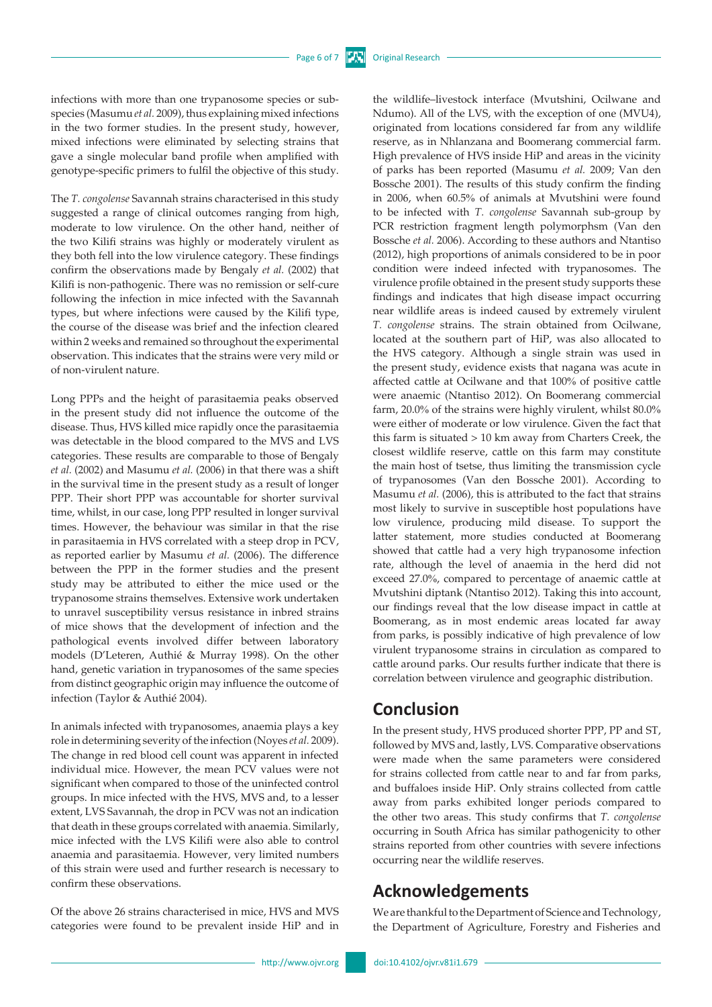infections with more than one trypanosome species or subspecies (Masumu *et al.* 2009), thus explaining mixed infections in the two former studies. In the present study, however, mixed infections were eliminated by selecting strains that gave a single molecular band profile when amplified with genotype-specific primers to fulfil the objective of this study.

The *T. congolense* Savannah strains characterised in this study suggested a range of clinical outcomes ranging from high, moderate to low virulence. On the other hand, neither of the two Kilifi strains was highly or moderately virulent as they both fell into the low virulence category. These findings confirm the observations made by Bengaly *et al.* (2002) that Kilifi is non-pathogenic. There was no remission or self-cure following the infection in mice infected with the Savannah types, but where infections were caused by the Kilifi type, the course of the disease was brief and the infection cleared within 2 weeks and remained so throughout the experimental observation. This indicates that the strains were very mild or of non-virulent nature.

Long PPPs and the height of parasitaemia peaks observed in the present study did not influence the outcome of the disease. Thus, HVS killed mice rapidly once the parasitaemia was detectable in the blood compared to the MVS and LVS categories. These results are comparable to those of Bengaly *et al.* (2002) and Masumu *et al.* (2006) in that there was a shift in the survival time in the present study as a result of longer PPP. Their short PPP was accountable for shorter survival time, whilst, in our case, long PPP resulted in longer survival times. However, the behaviour was similar in that the rise in parasitaemia in HVS correlated with a steep drop in PCV, as reported earlier by Masumu *et al.* (2006). The difference between the PPP in the former studies and the present study may be attributed to either the mice used or the trypanosome strains themselves. Extensive work undertaken to unravel susceptibility versus resistance in inbred strains of mice shows that the development of infection and the pathological events involved differ between laboratory models (D'Leteren, Authié & Murray 1998). On the other hand, genetic variation in trypanosomes of the same species from distinct geographic origin may influence the outcome of infection (Taylor & Authié 2004).

In animals infected with trypanosomes, anaemia plays a key role in determining severity of the infection (Noyes *et al.* 2009). The change in red blood cell count was apparent in infected individual mice. However, the mean PCV values were not significant when compared to those of the uninfected control groups. In mice infected with the HVS, MVS and, to a lesser extent, LVS Savannah, the drop in PCV was not an indication that death in these groups correlated with anaemia. Similarly, mice infected with the LVS Kilifi were also able to control anaemia and parasitaemia. However, very limited numbers of this strain were used and further research is necessary to confirm these observations.

Of the above 26 strains characterised in mice, HVS and MVS categories were found to be prevalent inside HiP and in the wildlife–livestock interface (Mvutshini, Ocilwane and Ndumo). All of the LVS, with the exception of one (MVU4), originated from locations considered far from any wildlife reserve, as in Nhlanzana and Boomerang commercial farm. High prevalence of HVS inside HiP and areas in the vicinity of parks has been reported (Masumu *et al.* 2009; Van den Bossche 2001). The results of this study confirm the finding in 2006, when 60.5% of animals at Mvutshini were found to be infected with *T. congolense* Savannah sub-group by PCR restriction fragment length polymorphsm (Van den Bossche *et al.* 2006). According to these authors and Ntantiso (2012), high proportions of animals considered to be in poor condition were indeed infected with trypanosomes. The virulence profile obtained in the present study supports these findings and indicates that high disease impact occurring near wildlife areas is indeed caused by extremely virulent *T. congolense* strains. The strain obtained from Ocilwane, located at the southern part of HiP, was also allocated to the HVS category. Although a single strain was used in the present study, evidence exists that nagana was acute in affected cattle at Ocilwane and that 100% of positive cattle were anaemic (Ntantiso 2012). On Boomerang commercial farm, 20.0% of the strains were highly virulent, whilst 80.0% were either of moderate or low virulence. Given the fact that this farm is situated > 10 km away from Charters Creek, the closest wildlife reserve, cattle on this farm may constitute the main host of tsetse, thus limiting the transmission cycle of trypanosomes (Van den Bossche 2001). According to Masumu *et al.* (2006), this is attributed to the fact that strains most likely to survive in susceptible host populations have low virulence, producing mild disease. To support the latter statement, more studies conducted at Boomerang showed that cattle had a very high trypanosome infection rate, although the level of anaemia in the herd did not exceed 27.0%, compared to percentage of anaemic cattle at Mvutshini diptank (Ntantiso 2012). Taking this into account, our findings reveal that the low disease impact in cattle at Boomerang, as in most endemic areas located far away from parks, is possibly indicative of high prevalence of low virulent trypanosome strains in circulation as compared to cattle around parks. Our results further indicate that there is correlation between virulence and geographic distribution.

# **Conclusion**

In the present study, HVS produced shorter PPP, PP and ST, followed by MVS and, lastly, LVS. Comparative observations were made when the same parameters were considered for strains collected from cattle near to and far from parks, and buffaloes inside HiP. Only strains collected from cattle away from parks exhibited longer periods compared to the other two areas. This study confirms that *T. congolense* occurring in South Africa has similar pathogenicity to other strains reported from other countries with severe infections occurring near the wildlife reserves.

# **Acknowledgements**

We are thankful to the Department of Science and Technology, the Department of Agriculture, Forestry and Fisheries and